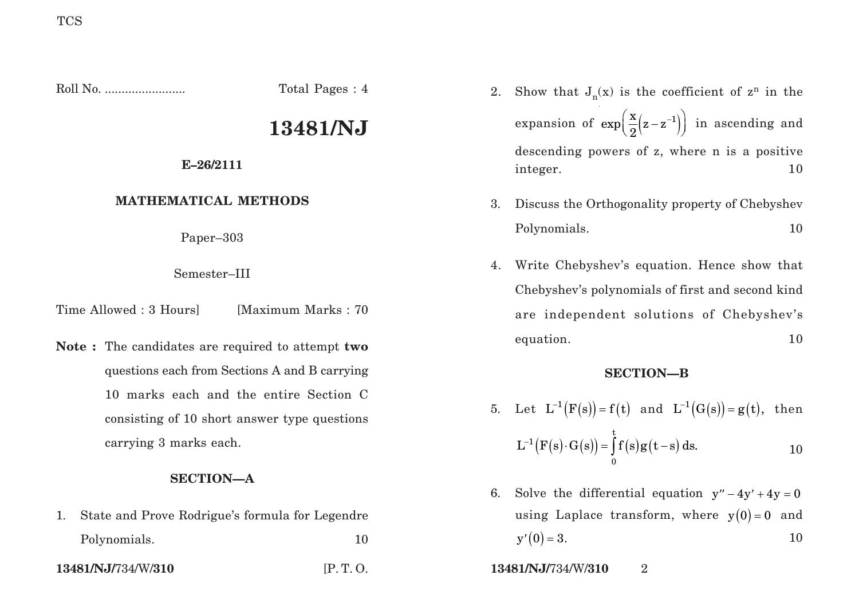1. State and Prove Rodrigue's formula for Legendre

Polynomials. 10

Roll No. ........................ Total Pages : 4 **13481/NJ E–26/2111 MATHEMATICAL METHODS** Paper–303 Semester–III Time Allowed : 3 Hours [Maximum Marks : 70] **Note :** The candidates are required to attempt **two** questions each from Sections A and B carrying 10 marks each and the entire Section C consisting of 10 short answer type questions carrying 3 marks each. **SECTION—A** 2. Show that  $J_n(x)$  is the coefficient of  $z^n$  in the expansion of  $\exp\left( \frac{x}{2} (z - z^{-1}) \right)$  in ascending and descending powers of z, where n is a positive integer. 10 3. Discuss the Orthogonality property of Chebyshev Polynomials. 10 4. Write Chebyshev's equation. Hence show that Chebyshev's polynomials of first and second kind are independent solutions of Chebyshev's equation. 10 **SECTION—B**  $5. \quad \text{Let} \ \ \text{L}^{-1}\big(\text{F(s)}\big) \text{= f(t)} \ \ \text{and} \ \ \text{L}^{-1}\big(\text{G(s)}\big) \text{= g(t)}, \ \ \text{then}$  $\big( {\mathrm F} \big( {\mathrm s} \big) {\cdot} \mathrm G \big( {\mathrm s} \big) \big) \!=\! \int \! \mathrm f \big( {\mathrm s} \big) {\mathrm g} \big( \mathrm t \!-\! \mathrm s \big)$ t 1 0  $L^{-1}(F(s)\cdot G(s)) = \int f(s)g(t-s) ds.$  10

- 6. Solve the differential equation  $y'' 4y' + 4y = 0$ using Laplace transform, where  $y(0) = 0$  and  $y'(0) = 3.$  10
- **13481/NJ/**734/W/**310** [P. T. O. **13481/NJ/**734/W/**310** 2